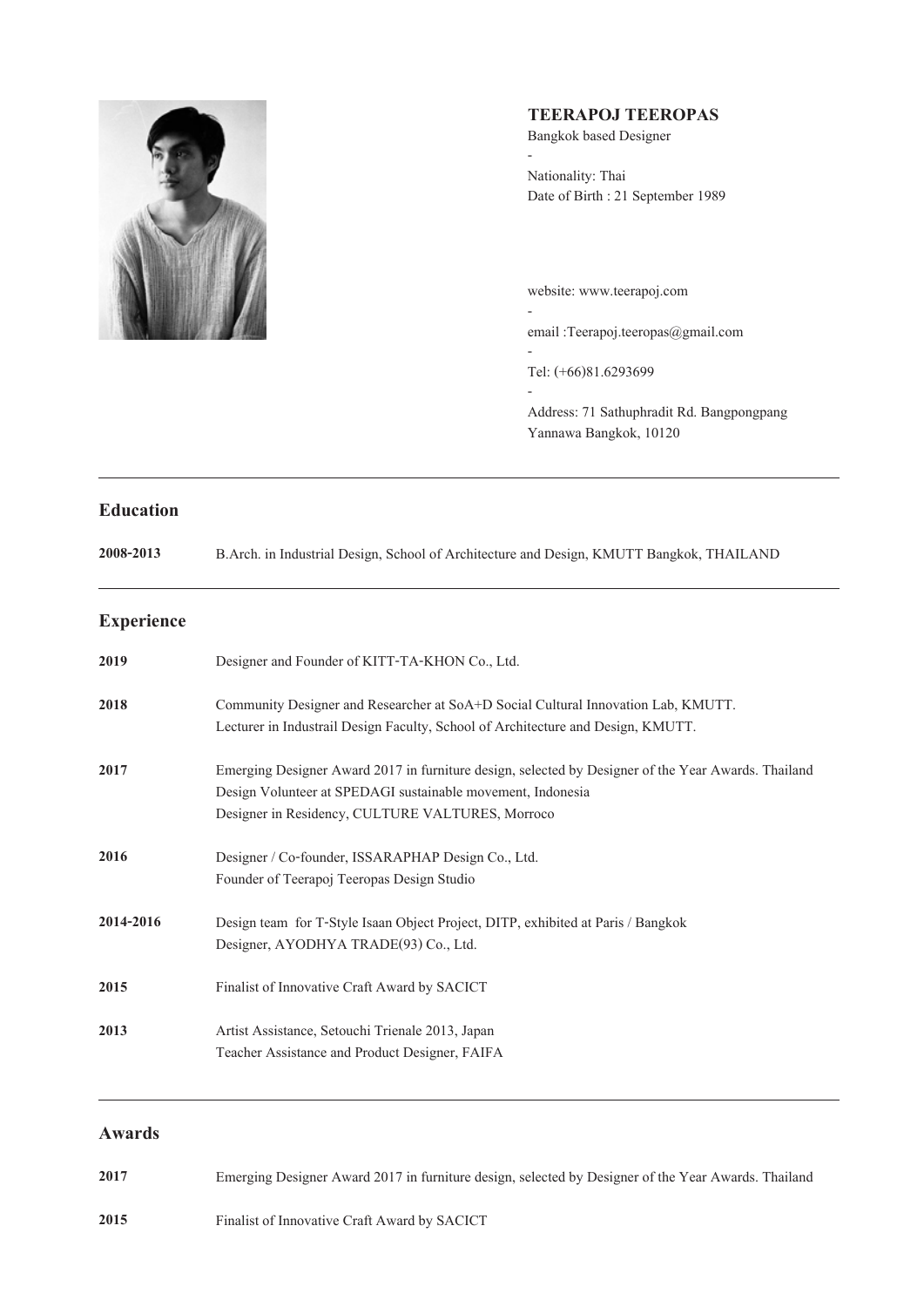

# **TEERAPOJ TEEROPAS**

Bangkok based Designer

- Nationality: Thai Date of Birth : 21 September 1989

website: www.teerapoj.com email :Teerapoj.teeropas@gmail.com - Tel: (+66)81.6293699 -

Address: 71 Sathuphradit Rd. Bangpongpang Yannawa Bangkok, 10120

## **Education**

| 2008-2013<br>B.Arch. in Industrial Design, School of Architecture and Design, KMUTT Bangkok, THAILAND |
|-------------------------------------------------------------------------------------------------------|
|-------------------------------------------------------------------------------------------------------|

## **Experience**

| 2019      | Designer and Founder of KITT-TA-KHON Co., Ltd.                                                                                                                                                                         |
|-----------|------------------------------------------------------------------------------------------------------------------------------------------------------------------------------------------------------------------------|
| 2018      | Community Designer and Researcher at SoA+D Social Cultural Innovation Lab, KMUTT.<br>Lecturer in Industrail Design Faculty, School of Architecture and Design, KMUTT.                                                  |
| 2017      | Emerging Designer Award 2017 in furniture design, selected by Designer of the Year Awards. Thailand<br>Design Volunteer at SPEDAGI sustainable movement, Indonesia<br>Designer in Residency, CULTURE VALTURES, Morroco |
| 2016      | Designer / Co-founder, ISSARAPHAP Design Co., Ltd.<br>Founder of Teerapoj Teeropas Design Studio                                                                                                                       |
| 2014-2016 | Design team for T-Style Isaan Object Project, DITP, exhibited at Paris / Bangkok<br>Designer, AYODHYA TRADE(93) Co., Ltd.                                                                                              |
| 2015      | Finalist of Innovative Craft Award by SACICT                                                                                                                                                                           |
| 2013      | Artist Assistance, Setouchi Trienale 2013, Japan<br>Teacher Assistance and Product Designer, FAIFA                                                                                                                     |

## **Awards**

Emerging Designer Award 2017 in furniture design, selected by Designer of the Year Awards. Thailand **2017**

Finalist of Innovative Craft Award by SACICT **2015**